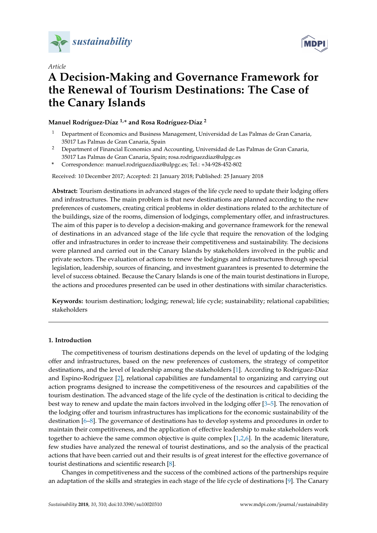



# *Article* **A Decision-Making and Governance Framework for the Renewal of Tourism Destinations: The Case of the Canary Islands**

# **Manuel Rodríguez-Díaz 1,\* and Rosa Rodríguez-Díaz <sup>2</sup>**

- <sup>1</sup> Department of Economics and Business Management, Universidad de Las Palmas de Gran Canaria, 35017 Las Palmas de Gran Canaria, Spain
- <sup>2</sup> Department of Financial Economics and Accounting, Universidad de Las Palmas de Gran Canaria, 35017 Las Palmas de Gran Canaria, Spain; rosa.rodriguezdiaz@ulpgc.es
- **\*** Correspondence: manuel.rodriguezdiaz@ulpgc.es; Tel.: +34-928-452-802

Received: 10 December 2017; Accepted: 21 January 2018; Published: 25 January 2018

**Abstract:** Tourism destinations in advanced stages of the life cycle need to update their lodging offers and infrastructures. The main problem is that new destinations are planned according to the new preferences of customers, creating critical problems in older destinations related to the architecture of the buildings, size of the rooms, dimension of lodgings, complementary offer, and infrastructures. The aim of this paper is to develop a decision-making and governance framework for the renewal of destinations in an advanced stage of the life cycle that require the renovation of the lodging offer and infrastructures in order to increase their competitiveness and sustainability. The decisions were planned and carried out in the Canary Islands by stakeholders involved in the public and private sectors. The evaluation of actions to renew the lodgings and infrastructures through special legislation, leadership, sources of financing, and investment guarantees is presented to determine the level of success obtained. Because the Canary Islands is one of the main tourist destinations in Europe, the actions and procedures presented can be used in other destinations with similar characteristics.

**Keywords:** tourism destination; lodging; renewal; life cycle; sustainability; relational capabilities; stakeholders

## **1. Introduction**

The competitiveness of tourism destinations depends on the level of updating of the lodging offer and infrastructures, based on the new preferences of customers, the strategy of competitor destinations, and the level of leadership among the stakeholders [\[1\]](#page-15-0). According to Rodríguez-Díaz and Espino-Rodríguez [\[2\]](#page-15-1), relational capabilities are fundamental to organizing and carrying out action programs designed to increase the competitiveness of the resources and capabilities of the tourism destination. The advanced stage of the life cycle of the destination is critical to deciding the best way to renew and update the main factors involved in the lodging offer [\[3](#page-15-2)[–5\]](#page-15-3). The renovation of the lodging offer and tourism infrastructures has implications for the economic sustainability of the destination [\[6–](#page-15-4)[8\]](#page-15-5). The governance of destinations has to develop systems and procedures in order to maintain their competitiveness, and the application of effective leadership to make stakeholders work together to achieve the same common objective is quite complex [\[1,](#page-15-0)[2,](#page-15-1)[6\]](#page-15-4). In the academic literature, few studies have analyzed the renewal of tourist destinations, and so the analysis of the practical actions that have been carried out and their results is of great interest for the effective governance of tourist destinations and scientific research [\[8\]](#page-15-5).

Changes in competitiveness and the success of the combined actions of the partnerships require an adaptation of the skills and strategies in each stage of the life cycle of destinations [\[9\]](#page-15-6). The Canary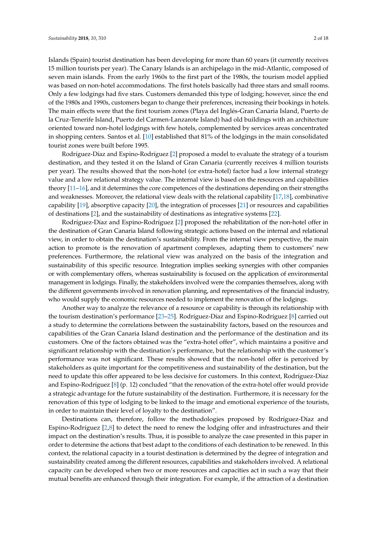Islands (Spain) tourist destination has been developing for more than 60 years (it currently receives 15 million tourists per year). The Canary Islands is an archipelago in the mid-Atlantic, composed of seven main islands. From the early 1960s to the first part of the 1980s, the tourism model applied was based on non-hotel accommodations. The first hotels basically had three stars and small rooms. Only a few lodgings had five stars. Customers demanded this type of lodging; however, since the end of the 1980s and 1990s, customers began to change their preferences, increasing their bookings in hotels. The main effects were that the first tourism zones (Playa del Inglés-Gran Canaria Island, Puerto de la Cruz-Tenerife Island, Puerto del Carmen-Lanzarote Island) had old buildings with an architecture oriented toward non-hotel lodgings with few hotels, complemented by services areas concentrated in shopping centers. Santos et al. [\[10\]](#page-15-7) established that 81% of the lodgings in the main consolidated tourist zones were built before 1995.

Rodríguez-Díaz and Espino-Rodríguez [\[2\]](#page-15-1) proposed a model to evaluate the strategy of a tourism destination, and they tested it on the Island of Gran Canaria (currently receives 4 million tourists per year). The results showed that the non-hotel (or extra-hotel) factor had a low internal strategy value and a low relational strategy value. The internal view is based on the resources and capabilities theory [\[11–](#page-15-8)[16\]](#page-15-9), and it determines the core competences of the destinations depending on their strengths and weaknesses. Moreover, the relational view deals with the relational capability [\[17](#page-15-10)[,18\]](#page-16-0), combinative capability [\[19\]](#page-16-1), absorptive capacity [\[20\]](#page-16-2), the integration of processes [\[21\]](#page-16-3) or resources and capabilities of destinations [\[2\]](#page-15-1), and the sustainability of destinations as integrative systems [\[22\]](#page-16-4).

Rodríguez-Díaz and Espino-Rodríguez [\[2\]](#page-15-1) proposed the rehabilitation of the non-hotel offer in the destination of Gran Canaria Island following strategic actions based on the internal and relational view, in order to obtain the destination's sustainability. From the internal view perspective, the main action to promote is the renovation of apartment complexes, adapting them to customers' new preferences. Furthermore, the relational view was analyzed on the basis of the integration and sustainability of this specific resource. Integration implies seeking synergies with other companies or with complementary offers, whereas sustainability is focused on the application of environmental management in lodgings. Finally, the stakeholders involved were the companies themselves, along with the different governments involved in renovation planning, and representatives of the financial industry, who would supply the economic resources needed to implement the renovation of the lodgings.

Another way to analyze the relevance of a resource or capability is through its relationship with the tourism destination's performance [\[23–](#page-16-5)[25\]](#page-16-6). Rodríguez-Díaz and Espino-Rodríguez [\[8\]](#page-15-5) carried out a study to determine the correlations between the sustainability factors, based on the resources and capabilities of the Gran Canaria Island destination and the performance of the destination and its customers. One of the factors obtained was the "extra-hotel offer", which maintains a positive and significant relationship with the destination's performance, but the relationship with the customer's performance was not significant. These results showed that the non-hotel offer is perceived by stakeholders as quite important for the competitiveness and sustainability of the destination, but the need to update this offer appeared to be less decisive for customers. In this context, Rodríguez-Díaz and Espino-Rodríguez [\[8\]](#page-15-5) (p. 12) concluded "that the renovation of the extra-hotel offer would provide a strategic advantage for the future sustainability of the destination. Furthermore, it is necessary for the renovation of this type of lodging to be linked to the image and emotional experience of the tourists, in order to maintain their level of loyalty to the destination".

Destinations can, therefore, follow the methodologies proposed by Rodríguez-Díaz and Espino-Rodríguez [\[2,](#page-15-1)[8\]](#page-15-5) to detect the need to renew the lodging offer and infrastructures and their impact on the destination's results. Thus, it is possible to analyze the case presented in this paper in order to determine the actions that best adapt to the conditions of each destination to be renewed. In this context, the relational capacity in a tourist destination is determined by the degree of integration and sustainability created among the different resources, capabilities and stakeholders involved. A relational capacity can be developed when two or more resources and capacities act in such a way that their mutual benefits are enhanced through their integration. For example, if the attraction of a destination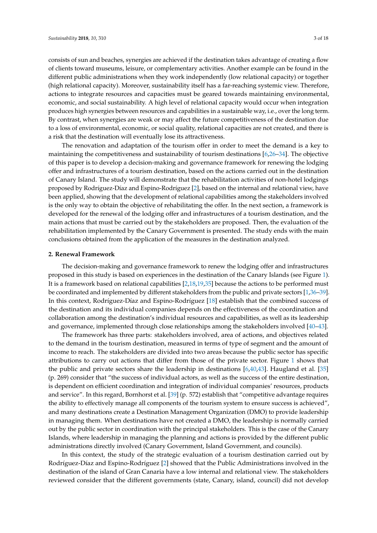consists of sun and beaches, synergies are achieved if the destination takes advantage of creating a flow of clients toward museums, leisure, or complementary activities. Another example can be found in the different public administrations when they work independently (low relational capacity) or together (high relational capacity). Moreover, sustainability itself has a far-reaching systemic view. Therefore, actions to integrate resources and capacities must be geared towards maintaining environmental, economic, and social sustainability. A high level of relational capacity would occur when integration produces high synergies between resources and capabilities in a sustainable way, i.e., over the long term. By contrast, when synergies are weak or may affect the future competitiveness of the destination due to a loss of environmental, economic, or social quality, relational capacities are not created, and there is a risk that the destination will eventually lose its attractiveness.

The renovation and adaptation of the tourism offer in order to meet the demand is a key to maintaining the competitiveness and sustainability of tourism destinations [\[6](#page-15-4)[,26](#page-16-7)[–34\]](#page-16-8). The objective of this paper is to develop a decision-making and governance framework for renewing the lodging offer and infrastructures of a tourism destination, based on the actions carried out in the destination of Canary Island. The study will demonstrate that the rehabilitation activities of non-hotel lodgings proposed by Rodríguez-Díaz and Espino-Rodríguez [\[2\]](#page-15-1), based on the internal and relational view, have been applied, showing that the development of relational capabilities among the stakeholders involved is the only way to obtain the objective of rehabilitating the offer. In the next section, a framework is developed for the renewal of the lodging offer and infrastructures of a tourism destination, and the main actions that must be carried out by the stakeholders are proposed. Then, the evaluation of the rehabilitation implemented by the Canary Government is presented. The study ends with the main conclusions obtained from the application of the measures in the destination analyzed.

#### **2. Renewal Framework**

The decision-making and governance framework to renew the lodging offer and infrastructures proposed in this study is based on experiences in the destination of the Canary Islands (see Figure [1\)](#page-3-0). It is a framework based on relational capabilities [\[2,](#page-15-1)[18](#page-16-0)[,19](#page-16-1)[,35\]](#page-16-9) because the actions to be performed must be coordinated and implemented by different stakeholders from the public and private sectors [\[1,](#page-15-0)[36–](#page-16-10)[39\]](#page-16-11). In this context, Rodríguez-Díaz and Espino-Rodríguez [\[18\]](#page-16-0) establish that the combined success of the destination and its individual companies depends on the effectiveness of the coordination and collaboration among the destination's individual resources and capabilities, as well as its leadership and governance, implemented through close relationships among the stakeholders involved [\[40–](#page-16-12)[43\]](#page-16-13).

The framework has three parts: stakeholders involved, area of actions, and objectives related to the demand in the tourism destination, measured in terms of type of segment and the amount of income to reach. The stakeholders are divided into two areas because the public sector has specific attributions to carry out actions that differ from those of the private sector. Figure [1](#page-3-0) shows that the public and private sectors share the leadership in destinations [\[6](#page-15-4)[,40](#page-16-12)[,43\]](#page-16-13). Haugland et al. [\[35\]](#page-16-9) (p. 269) consider that "the success of individual actors, as well as the success of the entire destination, is dependent on efficient coordination and integration of individual companies' resources, products and service". In this regard, Bornhorst et al. [\[39\]](#page-16-11) (p. 572) establish that "competitive advantage requires the ability to effectively manage all components of the tourism system to ensure success is achieved", and many destinations create a Destination Management Organization (DMO) to provide leadership in managing them. When destinations have not created a DMO, the leadership is normally carried out by the public sector in coordination with the principal stakeholders. This is the case of the Canary Islands, where leadership in managing the planning and actions is provided by the different public administrations directly involved (Canary Government, Island Government, and councils).

In this context, the study of the strategic evaluation of a tourism destination carried out by Rodríguez-Díaz and Espino-Rodríguez [\[2\]](#page-15-1) showed that the Public Administrations involved in the destination of the island of Gran Canaria have a low internal and relational view. The stakeholders reviewed consider that the different governments (state, Canary, island, council) did not develop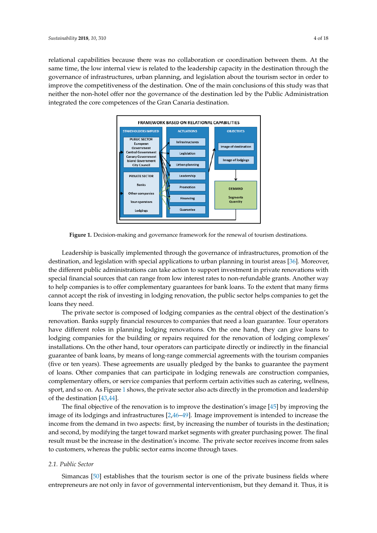<span id="page-3-0"></span>relational capabilities because there was no collaboration or coordination between them. At the same time, the low internal view is related to the leadership capacity in the destination through the governance of infrastructures, urban planning, and legislation about the tourism sector in order to improve the competitiveness of the destination. One of the main conclusions of this study was that neither the non-hotel offer nor the governance of the destination led by the Public Administration integrated the core competences of the Gran Canaria destination. pabilities because there was no conaboration or coordination between th competitiveness of the destination. One of the main conclusions of this stu integrated the core competences of the Gran Canaria destination.



**Figure 1.** Decision-making and governance framework for the renewal of tourism destinations. **Figure 1.** Decision-making and governance framework for the renewal of tourism destinations.

the destination, and legislation with special applications to urban planning in tourist areas [36]. Leadership is basically implemented through the governance of infrastructures, promotion of the destination, and legislation with special applications to urban planning in tourist areas [\[36\]](#page-16-10). Moreover, graphic administrations. can take action to support investment in private repeat the different public administrations can take action to support investment in private renovations with the different public sector  $\epsilon$ . special financial sources that can range from low interest rates to non-refundable grants. Another way to help companies is to offer complementary guarantees for bank loans. To the extent that many firms  $r_{\rm t}$  the rick of investing in lodging renovation, the public sector helps compani cannot accept the risk of investing in lodging renovation, the public sector helps companies to get the<br>.  $cecc.$ loans they need.

The private sector is composed of lodging companies as the central object of the destination's renovation. Banks supply financial resources to companies that need a loan guarantee. Tour operators years). These agreements are usually pledged by the banks to guarantee the payment of loans. Other have different roles in planning lodging renovations. On the one hand, they can give loans to lodging companies for the building or repairs required for the renovation of lodging complexes' On the other hand, tour eperators can participate directly or indirectly in the installations. On the other hand, tour operators can participate directly or indirectly in the financial guarantee of bank loans, by means of long-range commercial agreements with the tourism companies (five or ten years). These agreements are usually pledged by the banks to guarantee the payment for companies that can participate in todoing reposite are construction of loans. Other companies that can participate in lodging renewals are construction companies, complementary offers, or service companies that perform certain activities such as catering, wellness, sport, and so on. As Figure [1](#page-3-0) shows, the private sector also acts directly in the promotion and leadership of the destination [\[43,](#page-16-13)[44\]](#page-17-0).

The final objective of the renovation is to improve the destination's image [\[45\]](#page-17-1) by improving the image of its lodgings and infrastructures [\[2,](#page-15-1)[46–](#page-17-2)[49\]](#page-17-3). Image improvement is intended to increase the income from the demand in two aspects: first, by increasing the number of tourists in the destination; and second, by modifying the target toward market segments with greater purchasing power. The final result must be the increase in the destination's income. The private sector receives income from sales to customers, whereas the public sector earns income through taxes.

## *2.1. Public Sector*

Simancas [\[50\]](#page-17-4) establishes that the tourism sector is one of the private business fields where entrepreneurs are not only in favor of governmental interventionism, but they demand it. Thus, it is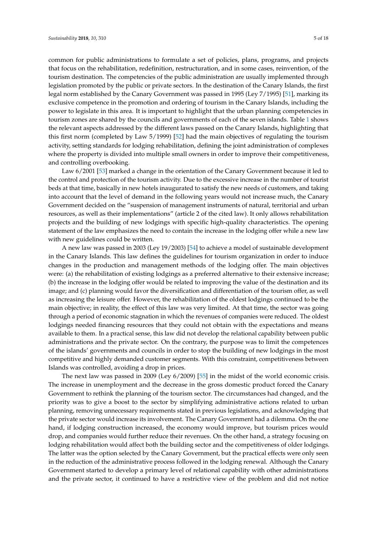common for public administrations to formulate a set of policies, plans, programs, and projects that focus on the rehabilitation, redefinition, restructuration, and in some cases, reinvention, of the tourism destination. The competencies of the public administration are usually implemented through legislation promoted by the public or private sectors. In the destination of the Canary Islands, the first legal norm established by the Canary Government was passed in 1995 (Ley 7/1995) [\[51\]](#page-17-5), marking its exclusive competence in the promotion and ordering of tourism in the Canary Islands, including the power to legislate in this area. It is important to highlight that the urban planning competencies in tourism zones are shared by the councils and governments of each of the seven islands. Table [1](#page-7-0) shows the relevant aspects addressed by the different laws passed on the Canary Islands, highlighting that this first norm (completed by Law 5/1999) [\[52\]](#page-17-6) had the main objectives of regulating the tourism activity, setting standards for lodging rehabilitation, defining the joint administration of complexes where the property is divided into multiple small owners in order to improve their competitiveness, and controlling overbooking.

Law 6/2001 [\[53\]](#page-17-7) marked a change in the orientation of the Canary Government because it led to the control and protection of the tourism activity. Due to the excessive increase in the number of tourist beds at that time, basically in new hotels inaugurated to satisfy the new needs of customers, and taking into account that the level of demand in the following years would not increase much, the Canary Government decided on the "suspension of management instruments of natural, territorial and urban resources, as well as their implementations" (article 2 of the cited law). It only allows rehabilitation projects and the building of new lodgings with specific high-quality characteristics. The opening statement of the law emphasizes the need to contain the increase in the lodging offer while a new law with new guidelines could be written.

A new law was passed in 2003 (Ley 19/2003) [\[54\]](#page-17-8) to achieve a model of sustainable development in the Canary Islands. This law defines the guidelines for tourism organization in order to induce changes in the production and management methods of the lodging offer. The main objectives were: (a) the rehabilitation of existing lodgings as a preferred alternative to their extensive increase; (b) the increase in the lodging offer would be related to improving the value of the destination and its image; and (c) planning would favor the diversification and differentiation of the tourism offer, as well as increasing the leisure offer. However, the rehabilitation of the oldest lodgings continued to be the main objective; in reality, the effect of this law was very limited. At that time, the sector was going through a period of economic stagnation in which the revenues of companies were reduced. The oldest lodgings needed financing resources that they could not obtain with the expectations and means available to them. In a practical sense, this law did not develop the relational capability between public administrations and the private sector. On the contrary, the purpose was to limit the competences of the islands' governments and councils in order to stop the building of new lodgings in the most competitive and highly demanded customer segments. With this constraint, competitiveness between Islands was controlled, avoiding a drop in prices.

The next law was passed in 2009 (Ley 6/2009) [\[55\]](#page-17-9) in the midst of the world economic crisis. The increase in unemployment and the decrease in the gross domestic product forced the Canary Government to rethink the planning of the tourism sector. The circumstances had changed, and the priority was to give a boost to the sector by simplifying administrative actions related to urban planning, removing unnecessary requirements stated in previous legislations, and acknowledging that the private sector would increase its involvement. The Canary Government had a dilemma. On the one hand, if lodging construction increased, the economy would improve, but tourism prices would drop, and companies would further reduce their revenues. On the other hand, a strategy focusing on lodging rehabilitation would affect both the building sector and the competitiveness of older lodgings. The latter was the option selected by the Canary Government, but the practical effects were only seen in the reduction of the administrative process followed in the lodging renewal. Although the Canary Government started to develop a primary level of relational capability with other administrations and the private sector, it continued to have a restrictive view of the problem and did not notice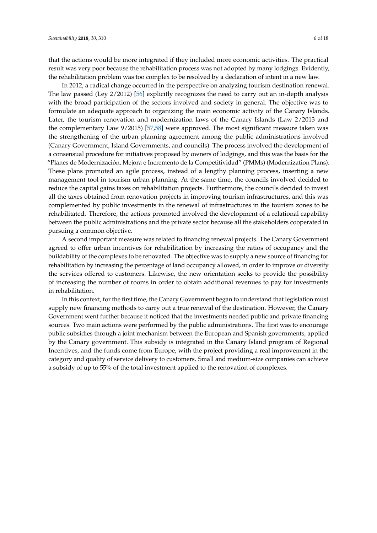that the actions would be more integrated if they included more economic activities. The practical result was very poor because the rehabilitation process was not adopted by many lodgings. Evidently, the rehabilitation problem was too complex to be resolved by a declaration of intent in a new law.

In 2012, a radical change occurred in the perspective on analyzing tourism destination renewal. The law passed (Ley 2/2012) [\[56\]](#page-17-10) explicitly recognizes the need to carry out an in-depth analysis with the broad participation of the sectors involved and society in general. The objective was to formulate an adequate approach to organizing the main economic activity of the Canary Islands. Later, the tourism renovation and modernization laws of the Canary Islands (Law 2/2013 and the complementary Law 9/2015) [\[57](#page-17-11)[,58\]](#page-17-12) were approved. The most significant measure taken was the strengthening of the urban planning agreement among the public administrations involved (Canary Government, Island Governments, and councils). The process involved the development of a consensual procedure for initiatives proposed by owners of lodgings, and this was the basis for the "Planes de Modernización, Mejora e Incremento de la Competitividad" (PMMs) (Modernization Plans). These plans promoted an agile process, instead of a lengthy planning process, inserting a new management tool in tourism urban planning. At the same time, the councils involved decided to reduce the capital gains taxes on rehabilitation projects. Furthermore, the councils decided to invest all the taxes obtained from renovation projects in improving tourism infrastructures, and this was complemented by public investments in the renewal of infrastructures in the tourism zones to be rehabilitated. Therefore, the actions promoted involved the development of a relational capability between the public administrations and the private sector because all the stakeholders cooperated in pursuing a common objective.

A second important measure was related to financing renewal projects. The Canary Government agreed to offer urban incentives for rehabilitation by increasing the ratios of occupancy and the buildability of the complexes to be renovated. The objective was to supply a new source of financing for rehabilitation by increasing the percentage of land occupancy allowed, in order to improve or diversify the services offered to customers. Likewise, the new orientation seeks to provide the possibility of increasing the number of rooms in order to obtain additional revenues to pay for investments in rehabilitation.

In this context, for the first time, the Canary Government began to understand that legislation must supply new financing methods to carry out a true renewal of the destination. However, the Canary Government went further because it noticed that the investments needed public and private financing sources. Two main actions were performed by the public administrations. The first was to encourage public subsidies through a joint mechanism between the European and Spanish governments, applied by the Canary government. This subsidy is integrated in the Canary Island program of Regional Incentives, and the funds come from Europe, with the project providing a real improvement in the category and quality of service delivery to customers. Small and medium-size companies can achieve a subsidy of up to 55% of the total investment applied to the renovation of complexes.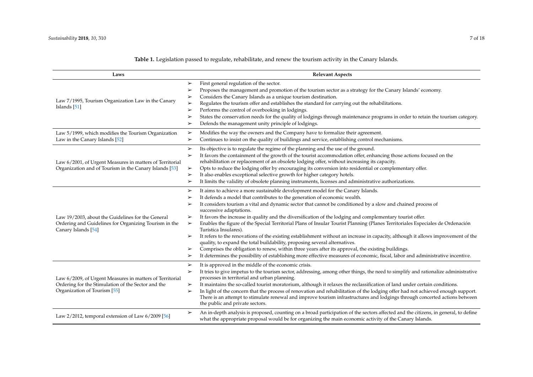| Laws                                                                                                                                           | <b>Relevant Aspects</b>                                                                                                                                                                                                                                                                                                                                                                                                                                                                                                                                                                                                                                                                                                                                                                                                                                                                                                                                                                                                                                                                              |
|------------------------------------------------------------------------------------------------------------------------------------------------|------------------------------------------------------------------------------------------------------------------------------------------------------------------------------------------------------------------------------------------------------------------------------------------------------------------------------------------------------------------------------------------------------------------------------------------------------------------------------------------------------------------------------------------------------------------------------------------------------------------------------------------------------------------------------------------------------------------------------------------------------------------------------------------------------------------------------------------------------------------------------------------------------------------------------------------------------------------------------------------------------------------------------------------------------------------------------------------------------|
| Law 7/1995, Tourism Organization Law in the Canary<br>Islands $[51]$                                                                           | First general regulation of the sector.<br>➤<br>Proposes the management and promotion of the tourism sector as a strategy for the Canary Islands' economy.<br>➤<br>Considers the Canary Islands as a unique tourism destination.<br>➤<br>Regulates the tourism offer and establishes the standard for carrying out the rehabilitations.<br>➤<br>Performs the control of overbooking in lodgings.<br>➤<br>States the conservation needs for the quality of lodgings through maintenance programs in order to retain the tourism category.<br>➤<br>Defends the management unity principle of lodgings.<br>➤                                                                                                                                                                                                                                                                                                                                                                                                                                                                                            |
| Law 5/1999, which modifies the Tourism Organization<br>Law in the Canary Islands [52]                                                          | Modifies the way the owners and the Company have to formalize their agreement.<br>➤<br>Continues to insist on the quality of buildings and service, establishing control mechanisms.<br>➤                                                                                                                                                                                                                                                                                                                                                                                                                                                                                                                                                                                                                                                                                                                                                                                                                                                                                                            |
| Law 6/2001, of Urgent Measures in matters of Territorial<br>Organization and of Tourism in the Canary Islands [53]                             | Its objective is to regulate the regime of the planning and the use of the ground.<br>➤<br>It favors the containment of the growth of the tourist accommodation offer, enhancing those actions focused on the<br>➤<br>rehabilitation or replacement of an obsolete lodging offer, without increasing its capacity.<br>Opts to reduce the lodging offer by encouraging its conversion into residential or complementary offer.<br>$\blacktriangleright$<br>It also enables exceptional selective growth for higher category hotels.<br>➤<br>It limits the validity of obsolete planning instruments, licenses and administrative authorizations.<br>➤                                                                                                                                                                                                                                                                                                                                                                                                                                                 |
| Law 19/2003, about the Guidelines for the General<br>Ordering and Guidelines for Organizing Tourism in the<br>Canary Islands [54]              | It aims to achieve a more sustainable development model for the Canary Islands.<br>➤<br>It defends a model that contributes to the generation of economic wealth.<br>➤<br>It considers tourism a vital and dynamic sector that cannot be conditioned by a slow and chained process of<br>➤<br>successive adaptations.<br>It favors the increase in quality and the diversification of the lodging and complementary tourist offer.<br>➤<br>Enables the figure of the Special Territorial Plans of Insular Tourist Planning (Planes Territoriales Especiales de Ordenación<br>$\blacktriangleright$<br>Turística Insulares).<br>It refers to the renovations of the existing establishment without an increase in capacity, although it allows improvement of the<br>➤<br>quality, to expand the total buildability, proposing several alternatives.<br>Comprises the obligation to renew, within three years after its approval, the existing buildings.<br>➤<br>It determines the possibility of establishing more effective measures of economic, fiscal, labor and administrative incentive.<br>➤ |
| Law 6/2009, of Urgent Measures in matters of Territorial<br>Ordering for the Stimulation of the Sector and the<br>Organization of Tourism [55] | It is approved in the middle of the economic crisis.<br>➤<br>It tries to give impetus to the tourism sector, addressing, among other things, the need to simplify and rationalize administrative<br>➤<br>processes in territorial and urban planning.<br>It maintains the so-called tourist moratorium, although it relaxes the reclassification of land under certain conditions.<br>➤<br>In light of the concern that the process of renovation and rehabilitation of the lodging offer had not achieved enough support.<br>➤<br>There is an attempt to stimulate renewal and improve tourism infrastructures and lodgings through concerted actions between<br>the public and private sectors.                                                                                                                                                                                                                                                                                                                                                                                                    |
| Law $2/2012$ , temporal extension of Law $6/2009$ [56]                                                                                         | An in-depth analysis is proposed, counting on a broad participation of the sectors affected and the citizens, in general, to define<br>➤<br>what the appropriate proposal would be for organizing the main economic activity of the Canary Islands.                                                                                                                                                                                                                                                                                                                                                                                                                                                                                                                                                                                                                                                                                                                                                                                                                                                  |

**Table 1.** Legislation passed to regulate, rehabilitate, and renew the tourism activity in the Canary Islands.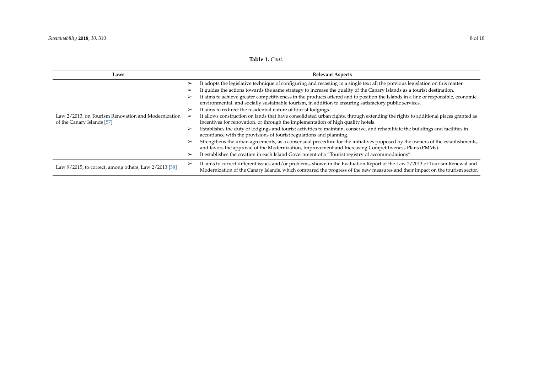<span id="page-7-0"></span>

| Laws                                                                              | <b>Relevant Aspects</b>                                                                                                                                                                                                                                           |
|-----------------------------------------------------------------------------------|-------------------------------------------------------------------------------------------------------------------------------------------------------------------------------------------------------------------------------------------------------------------|
|                                                                                   | It adopts the legislative technique of configuring and recasting in a single text all the previous legislation on this matter.<br>➤                                                                                                                               |
|                                                                                   | It guides the actions towards the same strategy to increase the quality of the Canary Islands as a tourist destination.<br>➤                                                                                                                                      |
|                                                                                   | It aims to achieve greater competitiveness in the products offered and to position the Islands in a line of responsible, economic,<br>➤<br>environmental, and socially sustainable tourism, in addition to ensuring satisfactory public services.                 |
|                                                                                   | It aims to redirect the residential nature of tourist lodgings.                                                                                                                                                                                                   |
| Law 2/2013, on Tourism Renovation and Modernization<br>of the Canary Islands [57] | It allows construction on lands that have consolidated urban rights, through extending the rights to additional places granted as<br>incentives for renovation, or through the implementation of high quality hotels.                                             |
|                                                                                   | Establishes the duty of lodgings and tourist activities to maintain, conserve, and rehabilitate the buildings and facilities in<br>➤<br>accordance with the provisions of tourist regulations and planning.                                                       |
|                                                                                   | Strengthens the urban agreements, as a consensual procedure for the initiatives proposed by the owners of the establishments,<br>➤<br>and favors the approval of the Modernization, Improvement and Increasing Competitiveness Plans (PMMs).                      |
|                                                                                   | It establishes the creation in each Island Government of a "Tourist registry of accommodations".<br>➤                                                                                                                                                             |
| Law 9/2015, to correct, among others, Law 2/2013 [58]                             | It aims to correct different issues and/or problems, shown in the Evaluation Report of the Law 2/2013 of Tourism Renewal and<br>➤<br>Modernization of the Canary Islands, which compared the progress of the new measures and their impact on the tourism sector. |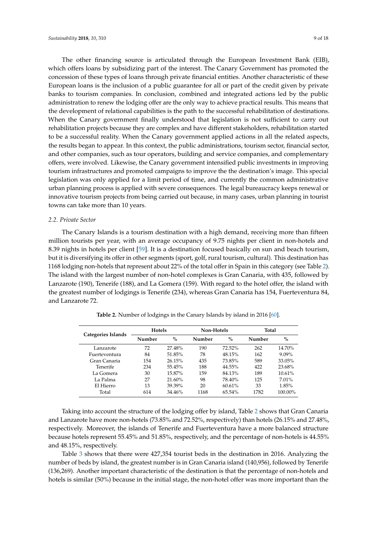The other financing source is articulated through the European Investment Bank (EIB), which offers loans by subsidizing part of the interest. The Canary Government has promoted the concession of these types of loans through private financial entities. Another characteristic of these European loans is the inclusion of a public guarantee for all or part of the credit given by private banks to tourism companies. In conclusion, combined and integrated actions led by the public administration to renew the lodging offer are the only way to achieve practical results. This means that the development of relational capabilities is the path to the successful rehabilitation of destinations. When the Canary government finally understood that legislation is not sufficient to carry out rehabilitation projects because they are complex and have different stakeholders, rehabilitation started to be a successful reality. When the Canary government applied actions in all the related aspects, the results began to appear. In this context, the public administrations, tourism sector, financial sector, and other companies, such as tour operators, building and service companies, and complementary offers, were involved. Likewise, the Canary government intensified public investments in improving tourism infrastructures and promoted campaigns to improve the the destination's image. This special legislation was only applied for a limit period of time, and currently the common administrative urban planning process is applied with severe consequences. The legal bureaucracy keeps renewal or innovative tourism projects from being carried out because, in many cases, urban planning in tourist towns can take more than 10 years.

#### *2.2. Private Sector*

The Canary Islands is a tourism destination with a high demand, receiving more than fifteen million tourists per year, with an average occupancy of 9.75 nights per client in non-hotels and 8.39 nights in hotels per client [\[59\]](#page-17-21). It is a destination focused basically on sun and beach tourism, but it is diversifying its offer in other segments (sport, golf, rural tourism, cultural). This destination has 1168 lodging non-hotels that represent about 22% of the total offer in Spain in this category (see Table [2\)](#page-8-0). The island with the largest number of non-hotel complexes is Gran Canaria, with 435, followed by Lanzarote (190), Tenerife (188), and La Gomera (159). With regard to the hotel offer, the island with the greatest number of lodgings is Tenerife (234), whereas Gran Canaria has 154, Fuerteventura 84, and Lanzarote 72.

<span id="page-8-0"></span>

| Categories Islands | <b>Hotels</b> |        | Non-Hotels |           | Total  |          |
|--------------------|---------------|--------|------------|-----------|--------|----------|
|                    | Number        | $\%$   | Number     | $\%$      | Number | $\%$     |
| Lanzarote          | 72            | 27.48% | 190        | 72.52%    | 262    | 14.70%   |
| Fuerteventura      | 84            | 51.85% | 78         | 48.15%    | 162    | $9.09\%$ |
| Gran Canaria       | 154           | 26.15% | 435        | 73.85%    | 589    | 33.05%   |
| Tenerife           | 234           | 55.45% | 188        | 44.55%    | 422    | 23.68%   |
| La Gomera          | 30            | 15.87% | 159        | 84.13%    | 189    | 10.61%   |
| La Palma           | 27            | 21.60% | 98         | 78.40%    | 125    | $7.01\%$ |
| El Hierro          | 13            | 39.39% | 20         | 60.61%    | 33     | 1.85%    |
| Total              | 614           | 34.46% | 1168       | $65.54\%$ | 1782   | 100.00%  |

**Table 2.** Number of lodgings in the Canary Islands by island in 2016 [\[60\]](#page-17-22).

Taking into account the structure of the lodging offer by island, Table [2](#page-8-0) shows that Gran Canaria and Lanzarote have more non-hotels (73.85% and 72.52%, respectively) than hotels (26.15% and 27.48%, respectively. Moreover, the islands of Tenerife and Fuerteventura have a more balanced structure because hotels represent 55.45% and 51.85%, respectively, and the percentage of non-hotels is 44.55% and 48.15%, respectively.

Table [3](#page-9-0) shows that there were 427,354 tourist beds in the destination in 2016. Analyzing the number of beds by island, the greatest number is in Gran Canaria island (140,956), followed by Tenerife (136,269). Another important characteristic of the destination is that the percentage of non-hotels and hotels is similar (50%) because in the initial stage, the non-hotel offer was more important than the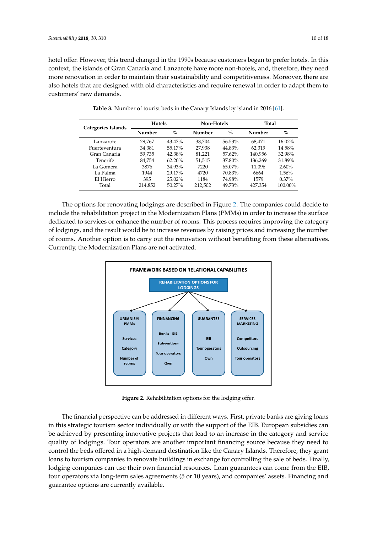hotel offer. However, this trend changed in the 1990s because customers began to prefer hotels. In this context, the islands of Gran Canaria and Lanzarote have more non-hotels, and, therefore, they need more renovation in order to maintain their sustainability and competitiveness. Moreover, there are also hotels that are designed with old characteristics and require renewal in order to adapt them to customers' new demands.

<span id="page-9-0"></span>

| Categories Islands | <b>Hotels</b> |           | Non-Hotels |           | Total   |           |
|--------------------|---------------|-----------|------------|-----------|---------|-----------|
|                    | Number        | $\%$      | Number     | $\%$      | Number  | $\%$      |
| Lanzarote          | 29,767        | 43.47%    | 38.704     | 56.53%    | 68.471  | $16.02\%$ |
| Fuerteventura      | 34,381        | 55.17%    | 27,938     | 44.83%    | 62.319  | 14.58%    |
| Gran Canaria       | 59.735        | 42.38%    | 81.221     | 57.62%    | 140,956 | 32.98%    |
| Tenerife           | 84.754        | $62.20\%$ | 51,515     | 37.80%    | 136,269 | 31.89%    |
| La Gomera          | 3876          | 34.93%    | 7220       | $65.07\%$ | 11.096  | 2.60%     |
| La Palma           | 1944          | 29.17%    | 4720       | 70.83%    | 6664    | 1.56%     |
| El Hierro          | 395           | $25.02\%$ | 1184       | 74.98%    | 1579    | $0.37\%$  |
| Total              | 214,852       | $50.27\%$ | 212,502    | 49.73%    | 427,354 | 100.00%   |

**Table 3.** Number of tourist beds in the Canary Islands by island in 2016 [\[61\]](#page-17-23). **Table 3.** Number of tourist beds in the Canary Islands by island in 2016 [61].

The options for renovating lodgings are described in Figure [2.](#page-9-1) The companies could decide to include the rehabilitation project in the Modernization Plans (PMMs) in order to increase the surface The options for renovating lodgings are described in Figure 2. The companies could decide to dedicated to services or enhance the number of rooms. This process requires improving the category dedicated to services or enhance the number of rooms. This process requires improving the category of lodgings, and the result would be to increase revenues by raising prices and increasing the number of lodgings, and the result would be to increase revenues by raising prices and increasing the number of rooms. Another option is to carry out the renovation without benefiting from these alternatives. of rooms. Another option is to carry out the renovation without benefiting from these alternatives. Currently, the Modernization Plans are not activated. Currently, the Modernization Plans are not activated. include the rehabilitation project in the Modernization Plans (PMMs) in order to increase the surface

Total 214,852 50.27% 214,852 50.27% 212,852 50.27% 212,852 50.27% 212,854 100.000 212,854 100.000 212,854 100.<br>The contract of the contract of the contract of the contract of the contract of the contract of the contract o

<span id="page-9-1"></span>

**Figure 2.** Rehabilitation options for the lodging offer. **Figure 2.** Rehabilitation options for the lodging offer.

The financial perspective can be addressed in different ways. First, private banks are giving The financial perspective can be addressed in different ways. First, private banks are giving loans in this strategic tourism sector individually or with the support of the EIB. European subsidies can be achieved by presenting innovative projects that lead to an increase in the category and service quality of lodgings. Tour operators are another important financing source because they need to control the beds offered in a high-demand destination like the Canary Islands. Therefore, they grant loans to tourism companies to renovate buildings in exchange for controlling the sale of beds. Finally, lodging companies can use their own financial resources. Loan guarantees can come from the EIB, tour operators via long-term sales agreements (5 or 10 years), and companies' assets. Financing and guarantee options are currently available.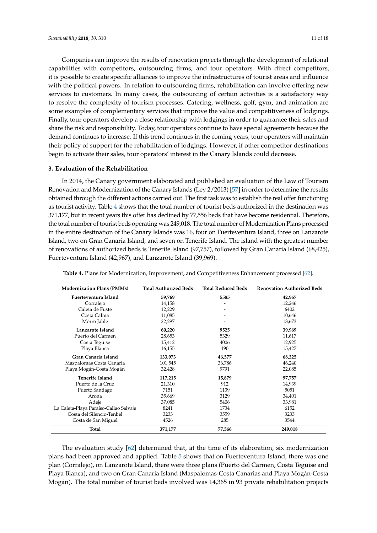Companies can improve the results of renovation projects through the development of relational capabilities with competitors, outsourcing firms, and tour operators. With direct competitors, it is possible to create specific alliances to improve the infrastructures of tourist areas and influence with the political powers. In relation to outsourcing firms, rehabilitation can involve offering new services to customers. In many cases, the outsourcing of certain activities is a satisfactory way to resolve the complexity of tourism processes. Catering, wellness, golf, gym, and animation are some examples of complementary services that improve the value and competitiveness of lodgings. Finally, tour operators develop a close relationship with lodgings in order to guarantee their sales and share the risk and responsibility. Today, tour operators continue to have special agreements because the demand continues to increase. If this trend continues in the coming years, tour operators will maintain their policy of support for the rehabilitation of lodgings. However, if other competitor destinations begin to activate their sales, tour operators' interest in the Canary Islands could decrease.

### **3. Evaluation of the Rehabilitation**

In 2014, the Canary government elaborated and published an evaluation of the Law of Tourism Renovation and Modernization of the Canary Islands (Ley 2/2013) [\[57\]](#page-17-11) in order to determine the results obtained through the different actions carried out. The first task was to establish the real offer functioning as tourist activity. Table [4](#page-10-0) shows that the total number of tourist beds authorized in the destination was 371,177, but in recent years this offer has declined by 77,556 beds that have become residential. Therefore, the total number of tourist beds operating was 249,018. The total number of Modernization Plans processed in the entire destination of the Canary Islands was 16, four on Fuerteventura Island, three on Lanzarote Island, two on Gran Canaria Island, and seven on Tenerife Island. The island with the greatest number of renovations of authorized beds is Tenerife Island (97,757), followed by Gran Canaria Island (68,425), Fuerteventura Island (42,967), and Lanzarote Island (39,969).

| <b>Modernization Plans (PMMs)</b>      | <b>Total Authorized Beds</b> | <b>Total Reduced Beds</b> | <b>Renovation Authorized Beds</b> |
|----------------------------------------|------------------------------|---------------------------|-----------------------------------|
| Fuerteventura Island                   | 59,769                       | 5585                      | 42,967                            |
| Corralejo                              | 14,158                       |                           | 12,246                            |
| Caleta de Fuste                        | 12,229                       |                           | 6402                              |
| Costa Calma                            | 11,085                       |                           | 10,646                            |
| Morro Jable                            | 22,297                       |                           | 13,673                            |
| Lanzarote Island                       | 60,220                       | 9525                      | 39,969                            |
| Puerto del Carmen                      | 28,653                       | 5329                      | 11,617                            |
| Costa Teguise                          | 15,412                       | 4006                      | 12,925                            |
| Playa Blanca                           | 16,155                       | 190                       | 15,427                            |
| Gran Canaria Island                    | 133,973                      | 46,577                    | 68,325                            |
| Maspalomas Costa Canaria               | 101,545                      | 36,786                    | 46,240                            |
| Playa Mogán-Costa Mogán                | 32,428                       | 9791                      | 22,085                            |
| <b>Tenerife Island</b>                 | 117,215                      | 15,879                    | 97,757                            |
| Puerto de la Cruz                      | 21,310                       | 912                       | 14,939                            |
| Puerto Santiago                        | 7151                         | 1139                      | 5051                              |
| Arona                                  | 35,669                       | 3129                      | 34,401                            |
| Adeje                                  | 37,085                       | 5406                      | 33,981                            |
| La Caleta-Playa Paraíso-Callao Salvaje | 8241                         | 1734                      | 6152                              |
| Costa del Silencio-Tenbel              | 3233                         | 3559                      | 3233                              |
| Costa de San Miguel                    | 4526                         | 285                       | 3544                              |
| Total                                  | 371,177                      | 77,566                    | 249,018                           |

<span id="page-10-0"></span>**Table 4.** Plans for Modernization, Improvement, and Competitiveness Enhancement processed [\[62\]](#page-17-24).

The evaluation study [\[62\]](#page-17-24) determined that, at the time of its elaboration, six modernization plans had been approved and applied. Table [5](#page-11-0) shows that on Fuerteventura Island, there was one plan (Corralejo), on Lanzarote Island, there were three plans (Puerto del Carmen, Costa Teguise and Playa Blanca), and two on Gran Canaria Island (Maspalomas-Costa Canarias and Playa Mogán-Costa Mogán). The total number of tourist beds involved was 14,365 in 93 private rehabilitation projects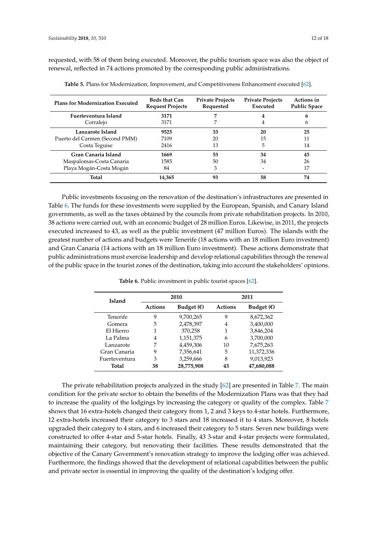requested, with 58 of them being executed. Moreover, the public tourism space was also the object of renewal, reflected in 74 actions promoted by the corresponding public administrations.

| <b>Plans for Modernization Executed</b> | <b>Beds that Can</b><br><b>Request Projects</b> | <b>Private Projects</b><br>Requested | <b>Private Projects</b><br>Executed | Actions in<br><b>Public Space</b> |
|-----------------------------------------|-------------------------------------------------|--------------------------------------|-------------------------------------|-----------------------------------|
| Fuerteventura Island                    | 3171                                            |                                      | 4                                   | 6                                 |
| Corralejo                               | 3171                                            |                                      | 4                                   | h                                 |
| Lanzarote Island                        | 9525                                            | 33                                   | 20                                  | 25                                |
| Puerto del Carmen (Second PMM)          | 7109                                            | 20                                   | 15                                  | 11                                |
| Costa Teguise                           | 2416                                            | 13                                   | 5                                   | 14                                |
| Gran Canaria Island                     | 1669                                            | 53                                   | 34                                  | 43                                |
| Maspalomas-Costa Canaria                | 1585                                            | 50                                   | 34                                  | 26                                |
| Playa Mogán-Costa Mogán                 | 84                                              | 3                                    |                                     | 17                                |
| <b>Total</b>                            | 14,365                                          | 93                                   | 58                                  | 74                                |

<span id="page-11-0"></span>**Table 5.** Plans for Modernization, Improvement, and Competitiveness Enhancement executed [\[62\]](#page-17-24).

Public investments focusing on the renovation of the destination's infrastructures are presented in Table [6.](#page-11-1) The funds for these investments were supplied by the European, Spanish, and Canary Island governments, as well as the taxes obtained by the councils from private rehabilitation projects. In 2010, 38 actions were carried out, with an economic budget of 28 million Euros. Likewise, in 2011, the projects executed increased to 43, as well as the public investment (47 million Euros). The islands with the greatest number of actions and budgets were Tenerife (18 actions with an 18 million Euro investment) and Gran Canaria (14 actions with an 18 million Euro investment). These actions demonstrate that public administrations must exercise leadership and develop relational capabilities through the renewal of the public space in the tourist zones of the destination, taking into account the stakeholders' opinions.

<span id="page-11-1"></span>

| <b>Island</b>   |                | 2010                | 2011           |                     |  |
|-----------------|----------------|---------------------|----------------|---------------------|--|
|                 | <b>Actions</b> | Budget $(\epsilon)$ | <b>Actions</b> | Budget $(\epsilon)$ |  |
| <b>Tenerife</b> | 9              | 9,700,265           | 9              | 8,672,362           |  |
| Gomera          | 5              | 2,478,397           | 4              | 3,400,000           |  |
| El Hierro       |                | 370,258             |                | 3,846,204           |  |
| La Palma        | 4              | 1,151,375           | 6              | 3,700,000           |  |
| Lanzarote       | 7              | 4,459,306           | 10             | 7,675,263           |  |
| Gran Canaria    | 9              | 7,356,641           | 5              | 11,372,336          |  |
| Fuerteventura   | 3              | 3,259,666           | 8              | 9,013,923           |  |
| Total           | 38             | 28,775,908          | 43             | 47,680,088          |  |

**Table 6.** Public investment in public tourist spaces [\[62\]](#page-17-24).

The private rehabilitation projects analyzed in the study [\[62\]](#page-17-24) are presented in Table [7.](#page-12-0) The main condition for the private sector to obtain the benefits of the Modernization Plans was that they had to increase the quality of the lodgings by increasing the category or quality of the complex. Table [7](#page-12-0) shows that 16 extra-hotels changed their category from 1, 2 and 3 keys to 4-star hotels. Furthermore, 12 extra-hotels increased their category to 3 stars and 18 increased it to 4 stars. Moreover, 8 hotels upgraded their category to 4 stars, and 6 increased their category to 5 stars. Seven new buildings were constructed to offer 4-star and 5-star hotels. Finally, 43 3-star and 4-star projects were formulated, maintaining their category, but renovating their facilities. These results demonstrated that the objective of the Canary Government's renovation strategy to improve the lodging offer was achieved. Furthermore, the findings showed that the development of relational capabilities between the public and private sector is essential in improving the quality of the destination's lodging offer.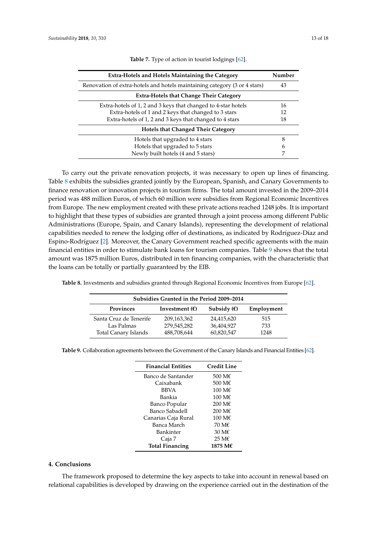<span id="page-12-0"></span>

| <b>Extra-Hotels and Hotels Maintaining the Category</b>                   |    |  |  |
|---------------------------------------------------------------------------|----|--|--|
| Renovation of extra-hotels and hotels maintaining category (3 or 4 stars) |    |  |  |
| <b>Extra-Hotels that Change Their Category</b>                            |    |  |  |
| Extra-hotels of 1, 2 and 3 keys that changed to 4-star hotels             | 16 |  |  |
| Extra-hotels of 1 and 2 keys that changed to 3 stars                      | 12 |  |  |
| Extra-hotels of 1, 2 and 3 keys that changed to 4 stars                   | 18 |  |  |
| <b>Hotels that Changed Their Category</b>                                 |    |  |  |
| Hotels that upgraded to 4 stars                                           | 8  |  |  |
| Hotels that upgraded to 5 stars                                           | h  |  |  |
| Newly built hotels (4 and 5 stars)                                        |    |  |  |

**Table 7.** Type of action in tourist lodgings [\[62\]](#page-17-24).

To carry out the private renovation projects, it was necessary to open up lines of financing. Table [8](#page-12-1) exhibits the subsidies granted jointly by the European, Spanish, and Canary Governments to finance renovation or innovation projects in tourism firms. The total amount invested in the 2009–2014 period was 488 million Euros, of which 60 million were subsidies from Regional Economic Incentives from Europe. The new employment created with these private actions reached 1248 jobs. It is important to highlight that these types of subsidies are granted through a joint process among different Public Administrations (Europe, Spain, and Canary Islands), representing the development of relational capabilities needed to renew the lodging offer of destinations, as indicated by Rodríguez-Díaz and Espino-Rodríguez [\[2\]](#page-15-1). Moreover, the Canary Government reached specific agreements with the main financial entities in order to stimulate bank loans for tourism companies. Table [9](#page-12-2) shows that the total amount was 1875 million Euros, distributed in ten financing companies, with the characteristic that the loans can be totally or partially guaranteed by the EIB.

<span id="page-12-1"></span>**Table 8.** Investments and subsidies granted through Regional Economic Incentives from Europe [\[62\]](#page-17-24).

| Subsidies Granted in the Period 2009–2014                                  |             |            |      |  |  |
|----------------------------------------------------------------------------|-------------|------------|------|--|--|
| <b>Provinces</b><br>Subsidy $(f)$<br>Employment<br>Investment $(\epsilon)$ |             |            |      |  |  |
| Santa Cruz de Tenerife                                                     | 209,163,362 | 24,415,620 | 515  |  |  |
| Las Palmas                                                                 | 279,545,282 | 36,404,927 | 733  |  |  |
| <b>Total Canary Islands</b>                                                | 488,708,644 | 60,820,547 | 1248 |  |  |

<span id="page-12-2"></span>

| Table 9. Collaboration agreements between the Government of the Canary Islands and Financial Entities [62]. |  |  |
|-------------------------------------------------------------------------------------------------------------|--|--|
|                                                                                                             |  |  |

| <b>Financial Entities</b> | <b>Credit Line</b>  |
|---------------------------|---------------------|
| Banco de Santander        | 500 M $\epsilon$    |
| Caixabank                 | 500 M€              |
| <b>BBVA</b>               | $100 \text{ M} \in$ |
| Bankia                    | $100 \text{ M} \in$ |
| Banco Popular             | 200 M€              |
| Banco Sabadell            | $200 \text{ M} \in$ |
| Canarias Caja Rural       | 100 M $\epsilon$    |
| Banca March               | 70 M€               |
| Bankinter                 | 30 M $\epsilon$     |
| Caja 7                    | 25 M€               |
| <b>Total Financing</b>    | 1875 M€             |

#### **4. Conclusions**

The framework proposed to determine the key aspects to take into account in renewal based on relational capabilities is developed by drawing on the experience carried out in the destination of the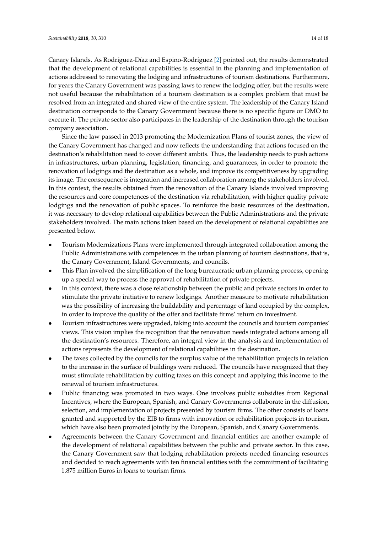Canary Islands. As Rodríguez-Díaz and Espino-Rodríguez [\[2\]](#page-15-1) pointed out, the results demonstrated that the development of relational capabilities is essential in the planning and implementation of actions addressed to renovating the lodging and infrastructures of tourism destinations. Furthermore, for years the Canary Government was passing laws to renew the lodging offer, but the results were not useful because the rehabilitation of a tourism destination is a complex problem that must be resolved from an integrated and shared view of the entire system. The leadership of the Canary Island destination corresponds to the Canary Government because there is no specific figure or DMO to execute it. The private sector also participates in the leadership of the destination through the tourism company association.

Since the law passed in 2013 promoting the Modernization Plans of tourist zones, the view of the Canary Government has changed and now reflects the understanding that actions focused on the destination's rehabilitation need to cover different ambits. Thus, the leadership needs to push actions in infrastructures, urban planning, legislation, financing, and guarantees, in order to promote the renovation of lodgings and the destination as a whole, and improve its competitiveness by upgrading its image. The consequence is integration and increased collaboration among the stakeholders involved. In this context, the results obtained from the renovation of the Canary Islands involved improving the resources and core competences of the destination via rehabilitation, with higher quality private lodgings and the renovation of public spaces. To reinforce the basic resources of the destination, it was necessary to develop relational capabilities between the Public Administrations and the private stakeholders involved. The main actions taken based on the development of relational capabilities are presented below.

- Tourism Modernizations Plans were implemented through integrated collaboration among the Public Administrations with competences in the urban planning of tourism destinations, that is, the Canary Government, Island Governments, and councils.
- This Plan involved the simplification of the long bureaucratic urban planning process, opening up a special way to process the approval of rehabilitation of private projects.
- In this context, there was a close relationship between the public and private sectors in order to stimulate the private initiative to renew lodgings. Another measure to motivate rehabilitation was the possibility of increasing the buildability and percentage of land occupied by the complex, in order to improve the quality of the offer and facilitate firms' return on investment.
- Tourism infrastructures were upgraded, taking into account the councils and tourism companies' views. This vision implies the recognition that the renovation needs integrated actions among all the destination's resources. Therefore, an integral view in the analysis and implementation of actions represents the development of relational capabilities in the destination.
- The taxes collected by the councils for the surplus value of the rehabilitation projects in relation to the increase in the surface of buildings were reduced. The councils have recognized that they must stimulate rehabilitation by cutting taxes on this concept and applying this income to the renewal of tourism infrastructures.
- Public financing was promoted in two ways. One involves public subsidies from Regional Incentives, where the European, Spanish, and Canary Governments collaborate in the diffusion, selection, and implementation of projects presented by tourism firms. The other consists of loans granted and supported by the EIB to firms with innovation or rehabilitation projects in tourism, which have also been promoted jointly by the European, Spanish, and Canary Governments.
- Agreements between the Canary Government and financial entities are another example of the development of relational capabilities between the public and private sector. In this case, the Canary Government saw that lodging rehabilitation projects needed financing resources and decided to reach agreements with ten financial entities with the commitment of facilitating 1.875 million Euros in loans to tourism firms.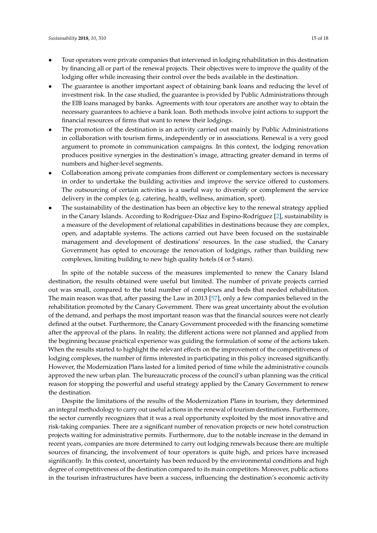- Tour operators were private companies that intervened in lodging rehabilitation in this destination by financing all or part of the renewal projects. Their objectives were to improve the quality of the lodging offer while increasing their control over the beds available in the destination.
- The guarantee is another important aspect of obtaining bank loans and reducing the level of investment risk. In the case studied, the guarantee is provided by Public Administrations through the EIB loans managed by banks. Agreements with tour operators are another way to obtain the necessary guarantees to achieve a bank loan. Both methods involve joint actions to support the financial resources of firms that want to renew their lodgings.
- The promotion of the destination is an activity carried out mainly by Public Administrations in collaboration with tourism firms, independently or in associations. Renewal is a very good argument to promote in communication campaigns. In this context, the lodging renovation produces positive synergies in the destination's image, attracting greater demand in terms of numbers and higher-level segments.
- Collaboration among private companies from different or complementary sectors is necessary in order to undertake the building activities and improve the service offered to customers. The outsourcing of certain activities is a useful way to diversify or complement the service delivery in the complex (e.g. catering, health, wellness, animation, sport).
- The sustainability of the destination has been an objective key to the renewal strategy applied in the Canary Islands. According to Rodríguez-Díaz and Espino-Rodríguez [\[2\]](#page-15-1), sustainability is a measure of the development of relational capabilities in destinations because they are complex, open, and adaptable systems. The actions carried out have been focused on the sustainable management and development of destinations' resources. In the case studied, the Canary Government has opted to encourage the renovation of lodgings, rather than building new complexes, limiting building to new high quality hotels (4 or 5 stars).

In spite of the notable success of the measures implemented to renew the Canary Island destination, the results obtained were useful but limited. The number of private projects carried out was small, compared to the total number of complexes and beds that needed rehabilitation. The main reason was that, after passing the Law in 2013 [\[57\]](#page-17-11), only a few companies believed in the rehabilitation promoted by the Canary Government. There was great uncertainty about the evolution of the demand, and perhaps the most important reason was that the financial sources were not clearly defined at the outset. Furthermore, the Canary Government proceeded with the financing sometime after the approval of the plans. In reality, the different actions were not planned and applied from the beginning because practical experience was guiding the formulation of some of the actions taken. When the results started to highlight the relevant effects on the improvement of the competitiveness of lodging complexes, the number of firms interested in participating in this policy increased significantly. However, the Modernization Plans lasted for a limited period of time while the administrative councils approved the new urban plan. The bureaucratic process of the council's urban planning was the critical reason for stopping the powerful and useful strategy applied by the Canary Government to renew the destination.

Despite the limitations of the results of the Modernization Plans in tourism, they determined an integral methodology to carry out useful actions in the renewal of tourism destinations. Furthermore, the sector currently recognizes that it was a real opportunity exploited by the most innovative and risk-taking companies. There are a significant number of renovation projects or new hotel construction projects waiting for administrative permits. Furthermore, due to the notable increase in the demand in recent years, companies are more determined to carry out lodging renewals because there are multiple sources of financing, the involvement of tour operators is quite high, and prices have increased significantly. In this context, uncertainty has been reduced by the environmental conditions and high degree of competitiveness of the destination compared to its main competitors. Moreover, public actions in the tourism infrastructures have been a success, influencing the destination's economic activity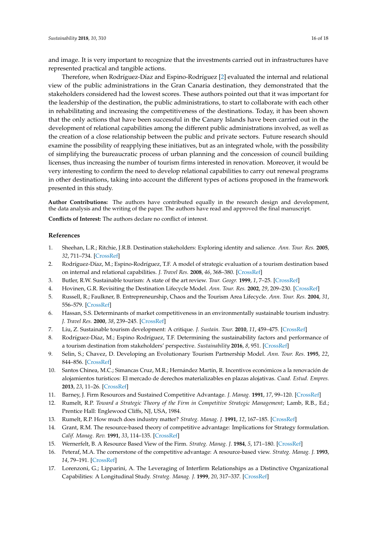and image. It is very important to recognize that the investments carried out in infrastructures have represented practical and tangible actions.

Therefore, when Rodríguez-Díaz and Espino-Rodríguez [\[2\]](#page-15-1) evaluated the internal and relational view of the public administrations in the Gran Canaria destination, they demonstrated that the stakeholders considered had the lowest scores. These authors pointed out that it was important for the leadership of the destination, the public administrations, to start to collaborate with each other in rehabilitating and increasing the competitiveness of the destinations. Today, it has been shown that the only actions that have been successful in the Canary Islands have been carried out in the development of relational capabilities among the different public administrations involved, as well as the creation of a close relationship between the public and private sectors. Future research should examine the possibility of reapplying these initiatives, but as an integrated whole, with the possibility of simplifying the bureaucratic process of urban planning and the concession of council building licenses, thus increasing the number of tourism firms interested in renovation. Moreover, it would be very interesting to confirm the need to develop relational capabilities to carry out renewal programs in other destinations, taking into account the different types of actions proposed in the framework presented in this study.

**Author Contributions:** The authors have contributed equally in the research design and development, the data analysis and the writing of the paper. The authors have read and approved the final manuscript.

**Conflicts of Interest:** The authors declare no conflict of interest.

## **References**

- <span id="page-15-0"></span>1. Sheehan, L.R.; Ritchie, J.R.B. Destination stakeholders: Exploring identity and salience. *Ann. Tour. Res.* **2005**, *32*, 711–734. [\[CrossRef\]](http://dx.doi.org/10.1016/j.annals.2004.10.013)
- <span id="page-15-1"></span>2. Rodríguez-Díaz, M.; Espino-Rodríguez, T.F. A model of strategic evaluation of a tourism destination based on internal and relational capabilities. *J. Travel Res.* **2008**, *46*, 368–380. [\[CrossRef\]](http://dx.doi.org/10.1177/0047287507308324)
- <span id="page-15-2"></span>3. Butler, R.W. Sustainable tourism: A state of the art review. *Tour. Geogr.* **1999**, *1*, 7–25. [\[CrossRef\]](http://dx.doi.org/10.1080/14616689908721291)
- 4. Hovinen, G.R. Revisiting the Destination Lifecycle Model. *Ann. Tour. Res.* **2002**, *29*, 209–230. [\[CrossRef\]](http://dx.doi.org/10.1016/S0160-7383(01)00036-6)
- <span id="page-15-3"></span>5. Russell, R.; Faulkner, B. Entrepreneurship, Chaos and the Tourism Area Lifecycle. *Ann. Tour. Res.* **2004**, *31*, 556–579. [\[CrossRef\]](http://dx.doi.org/10.1016/j.annals.2004.01.008)
- <span id="page-15-4"></span>6. Hassan, S.S. Determinants of market competitiveness in an environmentally sustainable tourism industry. *J. Travel Res.* **2000**, *38*, 239–245. [\[CrossRef\]](http://dx.doi.org/10.1177/004728750003800305)
- 7. Liu, Z. Sustainable tourism development: A critique. *J. Sustain. Tour.* **2010**, *11*, 459–475. [\[CrossRef\]](http://dx.doi.org/10.1080/09669580308667216)
- <span id="page-15-5"></span>8. Rodríguez-Díaz, M.; Espino Rodríguez, T.F. Determining the sustainability factors and performance of a tourism destination from stakeholders' perspective. *Sustainability* **2016**, *8*, 951. [\[CrossRef\]](http://dx.doi.org/10.3390/su8090951)
- <span id="page-15-6"></span>9. Selin, S.; Chavez, D. Developing an Evolutionary Tourism Partnership Model. *Ann. Tour. Res.* **1995**, *22*, 844–856. [\[CrossRef\]](http://dx.doi.org/10.1016/0160-7383(95)00017-X)
- <span id="page-15-7"></span>10. Santos Chinea, M.C.; Simancas Cruz, M.R.; Hernández Martín, R. Incentivos económicos a la renovación de alojamientos turísticos: El mercado de derechos materializables en plazas alojativas. *Cuad. Estud. Empres.* **2013**, *23*, 11–26. [\[CrossRef\]](http://dx.doi.org/10.5209/rev_CESE.2013.v23.47660)
- <span id="page-15-8"></span>11. Barney, J. Firm Resources and Sustained Competitive Advantage. *J. Manag.* **1991**, *17*, 99–120. [\[CrossRef\]](http://dx.doi.org/10.1177/014920639101700108)
- 12. Rumelt, R.P. *Toward a Strategic Theory of the Firm in Competitive Strategic Management*; Lamb, R.B., Ed.; Prentice Hall: Englewood Cliffs, NJ, USA, 1984.
- 13. Rumelt, R.P. How much does industry matter? *Strateg. Manag. J.* **1991**, *12*, 167–185. [\[CrossRef\]](http://dx.doi.org/10.1002/smj.4250120302)
- 14. Grant, R.M. The resource-based theory of competitive advantage: Implications for Strategy formulation. *Calif. Manag. Rev.* **1991**, *33*, 114–135. [\[CrossRef\]](http://dx.doi.org/10.2307/41166664)
- 15. Wernerfelt, B. A Resource Based View of the Firm. *Strateg. Manag. J.* **1984**, *5*, 171–180. [\[CrossRef\]](http://dx.doi.org/10.1002/smj.4250050207)
- <span id="page-15-9"></span>16. Peteraf, M.A. The cornerstone of the competitive advantage: A resource-based view. *Strateg. Manag. J.* **1993**, *14*, 79–191. [\[CrossRef\]](http://dx.doi.org/10.1002/smj.4250140303)
- <span id="page-15-10"></span>17. Lorenzoni, G.; Lipparini, A. The Leveraging of Interfirm Relationships as a Distinctive Organizational Capabilities: A Longitudinal Study. *Strateg. Manag. J.* **1999**, *20*, 317–337. [\[CrossRef\]](http://dx.doi.org/10.1002/(SICI)1097-0266(199904)20:4<317::AID-SMJ28>3.0.CO;2-3)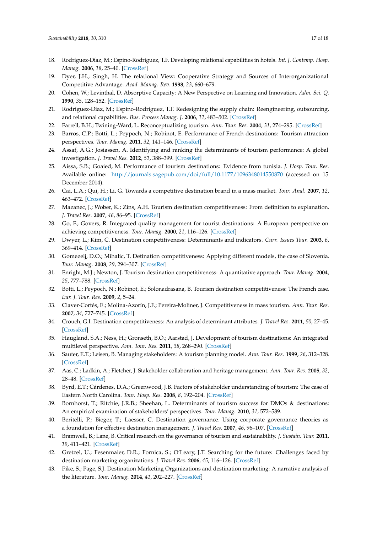- <span id="page-16-0"></span>18. Rodríguez-Díaz, M.; Espino-Rodríguez, T.F. Developing relational capabilities in hotels. *Int. J. Contemp. Hosp. Manag.* **2006**, *18*, 25–40. [\[CrossRef\]](http://dx.doi.org/10.1108/09596110610641957)
- <span id="page-16-1"></span>19. Dyer, J.H.; Singh, H. The relational View: Cooperative Strategy and Sources of Interorganizational Competitive Advantage. *Acad. Manag. Rev.* **1998**, *23*, 660–679.
- <span id="page-16-2"></span>20. Cohen, W.; Levinthal, D. Absorptive Capacity: A New Perspective on Learning and Innovation. *Adm. Sci. Q.* **1990**, *35*, 128–152. [\[CrossRef\]](http://dx.doi.org/10.2307/2393553)
- <span id="page-16-3"></span>21. Rodríguez-Díaz, M.; Espino-Rodríguez, T.F. Redesigning the supply chain: Reengineering, outsourcing, and relational capabilities. *Bus. Process Manag. J.* **2006**, *12*, 483–502. [\[CrossRef\]](http://dx.doi.org/10.1108/14637150610678087)
- <span id="page-16-5"></span><span id="page-16-4"></span>22. Farrell, B.H.; Twining-Ward, L. Reconceptualizing tourism. *Ann. Tour. Res.* **2004**, *31*, 274–295. [\[CrossRef\]](http://dx.doi.org/10.1016/j.annals.2003.12.002)
- 23. Barros, C.P.; Botti, L.; Peypoch, N.; Robinot, E. Performance of French destinations: Tourism attraction perspectives. *Tour. Manag.* **2011**, *32*, 141–146. [\[CrossRef\]](http://dx.doi.org/10.1016/j.tourman.2010.01.015)
- 24. Assaf, A.G.; Josiassen, A. Identifying and ranking the determinants of tourism performance: A global investigation. *J. Travel Res.* **2012**, *51*, 388–399. [\[CrossRef\]](http://dx.doi.org/10.1177/0047287511426337)
- <span id="page-16-6"></span>25. Aissa, S.B.; Goaied, M. Performance of tourism destinations: Evidence from tunisia. *J. Hosp. Tour. Res.* Available online: <http://journals.sagepub.com/doi/full/10.1177/1096348014550870> (accessed on 15 December 2014).
- <span id="page-16-7"></span>26. Cai, L.A.; Qui, H.; Li, G. Towards a competitive destination brand in a mass market. *Tour. Anal.* **2007**, *12*, 463–472. [\[CrossRef\]](http://dx.doi.org/10.3727/108354207783227966)
- 27. Mazanec, J.; Wober, K.; Zins, A.H. Tourism destination competitiveness: From definition to explanation. *J. Travel Res.* **2007**, *46*, 86–95. [\[CrossRef\]](http://dx.doi.org/10.1177/0047287507302389)
- 28. Go, F.; Govers, R. Integrated quality management for tourist destinations: A European perspective on achieving competitiveness. *Tour. Manag.* **2000**, *21*, 116–126. [\[CrossRef\]](http://dx.doi.org/10.1016/S0261-5177(99)00098-9)
- 29. Dwyer, L.; Kim, C. Destination competitiveness: Determinants and indicators. *Curr. Issues Tour.* **2003**, *6*, 369–414. [\[CrossRef\]](http://dx.doi.org/10.1080/13683500308667962)
- 30. Gomezelj, D.O.; Mihalic, T. Detination competitiveness: Applying different models, the case of Slovenia. *Tour. Manag.* **2008**, *29*, 294–307. [\[CrossRef\]](http://dx.doi.org/10.1016/j.tourman.2007.03.009)
- 31. Enright, M.J.; Newton, J. Tourism destination competitiveness: A quantitative approach. *Tour. Manag.* **2004**, *25*, 777–788. [\[CrossRef\]](http://dx.doi.org/10.1016/j.tourman.2004.06.008)
- 32. Botti, L.; Peypoch, N.; Robinot, E.; Solonadrasana, B. Tourism destination competitiveness: The French case. *Eur. J. Tour. Res.* **2009**, *2*, 5–24.
- 33. Claver-Cortés, E.; Molina-Azorín, J.F.; Pereira-Moliner, J. Competitiveness in mass tourism. *Ann. Tour. Res.* **2007**, *34*, 727–745. [\[CrossRef\]](http://dx.doi.org/10.1016/j.annals.2007.03.010)
- <span id="page-16-8"></span>34. Crouch, G.I. Destination competitiveness: An analysis of determinant attributes. *J. Travel Res.* **2011**, *50*, 27–45. [\[CrossRef\]](http://dx.doi.org/10.1177/0047287510362776)
- <span id="page-16-9"></span>35. Haugland, S.A.; Ness, H.; Gronseth, B.O.; Aarstad, J. Development of tourism destinations: An integrated multilevel perspective. *Ann. Tour. Res.* **2011**, *38*, 268–290. [\[CrossRef\]](http://dx.doi.org/10.1016/j.annals.2010.08.008)
- <span id="page-16-10"></span>36. Sauter, E.T.; Leisen, B. Managing stakeholders: A tourism planning model. *Ann. Tour. Res.* **1999**, *26*, 312–328. [\[CrossRef\]](http://dx.doi.org/10.1016/S0160-7383(98)00097-8)
- 37. Aas, C.; Ladkin, A.; Fletcher, J. Stakeholder collaboration and heritage management. *Ann. Tour. Res.* **2005**, *32*, 28–48. [\[CrossRef\]](http://dx.doi.org/10.1016/j.annals.2004.04.005)
- 38. Byrd, E.T.; Cárdenes, D.A.; Greenwood, J.B. Factors of stakeholder understanding of tourism: The case of Eastern North Carolina. *Tour. Hosp. Res.* **2008**, *8*, 192–204. [\[CrossRef\]](http://dx.doi.org/10.1057/thr.2008.21)
- <span id="page-16-11"></span>39. Bornhorst, T.; Ritchie, J.R.B.; Sheehan, L. Determinants of tourism success for DMOs & destinations: An empirical examination of stakeholders' perspectives. *Tour. Manag.* **2010**, *31*, 572–589.
- <span id="page-16-12"></span>40. Beritelli, P.; Bieger, T.; Laesser, C. Destination governance. Using corporate governance theories as a foundation for effective destination management. *J. Travel Res.* **2007**, *46*, 96–107. [\[CrossRef\]](http://dx.doi.org/10.1177/0047287507302385)
- 41. Bramwell, B.; Lane, B. Critical research on the governance of tourism and sustainability. *J. Sustain. Tour.* **2011**, *19*, 411–421. [\[CrossRef\]](http://dx.doi.org/10.1080/09669582.2011.580586)
- 42. Gretzel, U.; Fesenmaier, D.R.; Fornica, S.; O'Leary, J.T. Searching for the future: Challenges faced by destination marketing organizations. *J. Travel Res.* **2006**, *45*, 116–126. [\[CrossRef\]](http://dx.doi.org/10.1177/0047287506291598)
- <span id="page-16-13"></span>43. Pike, S.; Page, S.J. Destination Marketing Organizations and destination marketing: A narrative analysis of the literature. *Tour. Manag.* **2014**, *41*, 202–227. [\[CrossRef\]](http://dx.doi.org/10.1016/j.tourman.2013.09.009)